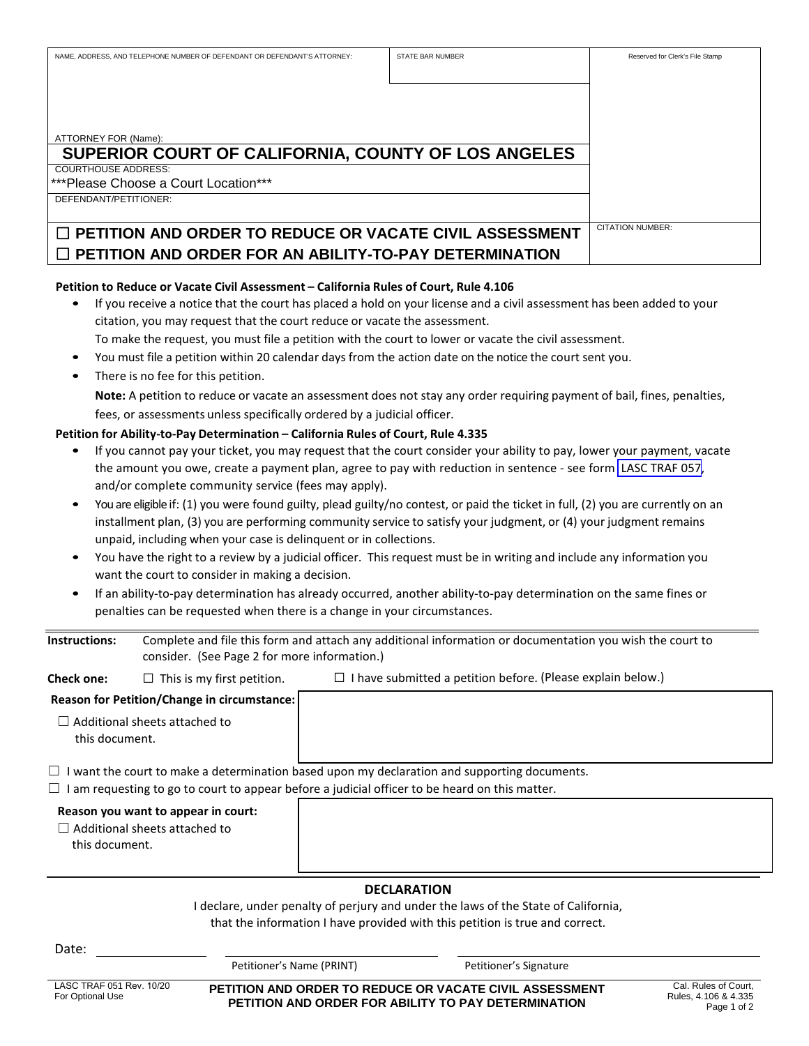| NAME, ADDRESS, AND TELEPHONE NUMBER OF DEFENDANT OR DEFENDANT'S ATTORNEY: | <b>STATE BAR NUMBER</b> | Reserved for Clerk's File Stamp |
|---------------------------------------------------------------------------|-------------------------|---------------------------------|
|                                                                           |                         |                                 |
|                                                                           |                         |                                 |
|                                                                           |                         |                                 |
|                                                                           |                         |                                 |
|                                                                           |                         |                                 |
| ATTORNEY FOR (Name):                                                      |                         |                                 |
| SUPERIOR COURT OF CALIFORNIA, COUNTY OF LOS ANGELES                       |                         |                                 |
| <b>COURTHOUSE ADDRESS:</b>                                                |                         |                                 |
| ***Please Choose a Court Location***                                      |                         |                                 |
| DEFENDANT/PETITIONER:                                                     |                         |                                 |
|                                                                           |                         |                                 |
| $\Box$ PETITION AND ORDER TO REDUCE OR VACATE CIVIL ASSESSMENT            |                         | <b>CITATION NUMBER:</b>         |
| $\Box$ PETITION AND ORDER FOR AN ABILITY-TO-PAY DETERMINATION             |                         |                                 |

# **Petition to Reduce or Vacate Civil Assessment – California Rules of Court, Rule 4.106**

- If you receive a notice that the court has placed a hold on your license and a civil assessment has been added to your citation, you may request that the court reduce or vacate the assessment.
- To make the request, you must file a petition with the court to lower or vacate the civil assessment.
- You must file a petition within 20 calendar days from the action date on the notice the court sent you.
- There is no fee for this petition.

**Note:** A petition to reduce or vacate an assessment does not stay any order requiring payment of bail, fines, penalties, fees, or assessments unless specifically ordered by a judicial officer.

### **Petition for Ability-to-Pay Determination – California Rules of Court, Rule 4.335**

- If you cannot pay your ticket, you may request that the court consider your ability to pay, lower your payment, vacate the amount you owe, create a payment plan, agree to pay with reduction in sentence - see form [LASC TRAF 057,](http://www.lacourt.org/forms/pdf/TRAF057.pdf) and/or complete community service (fees may apply).
- You are eligible if: (1) you were found guilty, plead guilty/no contest, or paid the ticket in full, (2) you are currently on an installment plan, (3) you are performing community service to satisfy your judgment, or (4) your judgment remains unpaid, including when your case is delinquent or in collections.
- You have the right to a review by a judicial officer. This request must be in writing and include any information you want the court to consider in making a decision.
- If an ability-to-pay determination has already occurred, another ability-to-pay determination on the same fines or penalties can be requested when there is a change in your circumstances.

| Instructions:     | Complete and file this form and attach any additional information or documentation you wish the court to |                                                                    |  |  |
|-------------------|----------------------------------------------------------------------------------------------------------|--------------------------------------------------------------------|--|--|
|                   | consider. (See Page 2 for more information.)                                                             |                                                                    |  |  |
| <b>Check one:</b> | $\Box$ This is my first petition.                                                                        | $\Box$ I have submitted a petition before. (Please explain below.) |  |  |

| Reason for Petition/Change in circumstance:            |  |  |  |
|--------------------------------------------------------|--|--|--|
| $\Box$ Additional sheets attached to<br>this document. |  |  |  |

- $\Box$  I want the court to make a determination based upon my declaration and supporting documents.
- $\Box$  I am requesting to go to court to appear before a judicial officer to be heard on this matter.

#### **Reason you want to appear in court:**

☐ Additional sheets attached to this document.

#### **DECLARATION**

I declare, under penalty of perjury and under the laws of the State of California, that the information I have provided with this petition is true and correct.

| Date:                                        |                                                                                                                |                        |                                                             |
|----------------------------------------------|----------------------------------------------------------------------------------------------------------------|------------------------|-------------------------------------------------------------|
|                                              | Petitioner's Name (PRINT)                                                                                      | Petitioner's Signature |                                                             |
| LASC TRAF 051 Rev. 10/20<br>For Optional Use | PETITION AND ORDER TO REDUCE OR VACATE CIVIL ASSESSMENT<br>PETITION AND ORDER FOR ABILITY TO PAY DETERMINATION |                        | Cal. Rules of Court,<br>Rules, 4.106 & 4.335<br>Page 1 of 2 |